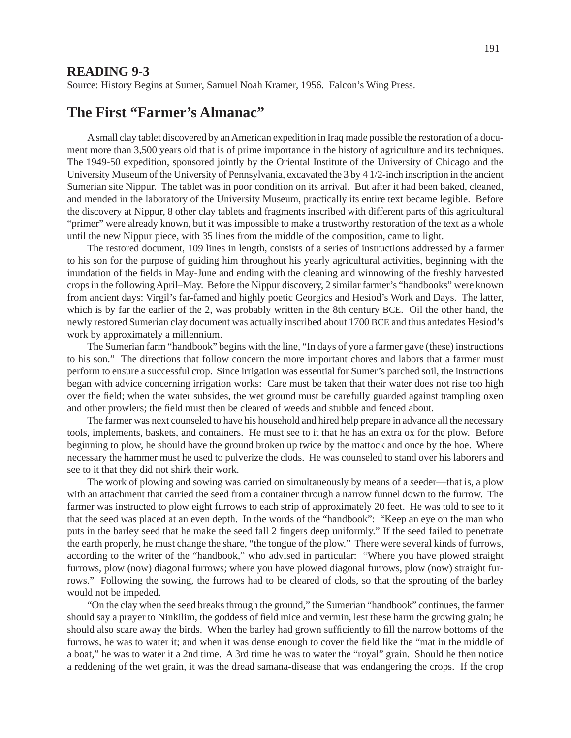## **READING 9-3**

Source: History Begins at Sumer, Samuel Noah Kramer, 1956. Falcon's Wing Press.

## **The First "Farmer's Almanac"**

A small clay tablet discovered by an American expedition in Iraq made possible the restoration of a document more than 3,500 years old that is of prime importance in the history of agriculture and its techniques. The 1949-50 expedition, sponsored jointly by the Oriental Institute of the University of Chicago and the University Museum of the University of Pennsylvania, excavated the 3 by 4 1/2-inch inscription in the ancient Sumerian site Nippur. The tablet was in poor condition on its arrival. But after it had been baked, cleaned, and mended in the laboratory of the University Museum, practically its entire text became legible. Before the discovery at Nippur, 8 other clay tablets and fragments inscribed with different parts of this agricultural "primer" were already known, but it was impossible to make a trustworthy restoration of the text as a whole until the new Nippur piece, with 35 lines from the middle of the composition, came to light.

The restored document, 109 lines in length, consists of a series of instructions addressed by a farmer to his son for the purpose of guiding him throughout his yearly agricultural activities, beginning with the inundation of the fields in May-June and ending with the cleaning and winnowing of the freshly harvested crops in the following April–May. Before the Nippur discovery, 2 similar farmer's "handbooks" were known from ancient days: Virgil's far-famed and highly poetic Georgics and Hesiod's Work and Days. The latter, which is by far the earlier of the 2, was probably written in the 8th century BCE. Oil the other hand, the newly restored Sumerian clay document was actually inscribed about 1700 BCE and thus antedates Hesiod's work by approximately a millennium.

The Sumerian farm "handbook" begins with the line, "In days of yore a farmer gave (these) instructions to his son." The directions that follow concern the more important chores and labors that a farmer must perform to ensure a successful crop. Since irrigation was essential for Sumer's parched soil, the instructions began with advice concerning irrigation works: Care must be taken that their water does not rise too high over the field; when the water subsides, the wet ground must be carefully guarded against trampling oxen and other prowlers; the field must then be cleared of weeds and stubble and fenced about.

The farmer was next counseled to have his household and hired help prepare in advance all the necessary tools, implements, baskets, and containers. He must see to it that he has an extra ox for the plow. Before beginning to plow, he should have the ground broken up twice by the mattock and once by the hoe. Where necessary the hammer must he used to pulverize the clods. He was counseled to stand over his laborers and see to it that they did not shirk their work.

The work of plowing and sowing was carried on simultaneously by means of a seeder—that is, a plow with an attachment that carried the seed from a container through a narrow funnel down to the furrow. The farmer was instructed to plow eight furrows to each strip of approximately 20 feet. He was told to see to it that the seed was placed at an even depth. In the words of the "handbook": "Keep an eye on the man who puts in the barley seed that he make the seed fall 2 fingers deep uniformly." If the seed failed to penetrate the earth properly, he must change the share, "the tongue of the plow." There were several kinds of furrows, according to the writer of the "handbook," who advised in particular: "Where you have plowed straight furrows, plow (now) diagonal furrows; where you have plowed diagonal furrows, plow (now) straight furrows." Following the sowing, the furrows had to be cleared of clods, so that the sprouting of the barley would not be impeded.

"On the clay when the seed breaks through the ground," the Sumerian "handbook" continues, the farmer should say a prayer to Ninkilim, the goddess of field mice and vermin, lest these harm the growing grain; he should also scare away the birds. When the barley had grown sufficiently to fill the narrow bottoms of the furrows, he was to water it; and when it was dense enough to cover the field like the "mat in the middle of a boat," he was to water it a 2nd time. A 3rd time he was to water the "royal" grain. Should he then notice a reddening of the wet grain, it was the dread samana-disease that was endangering the crops. If the crop